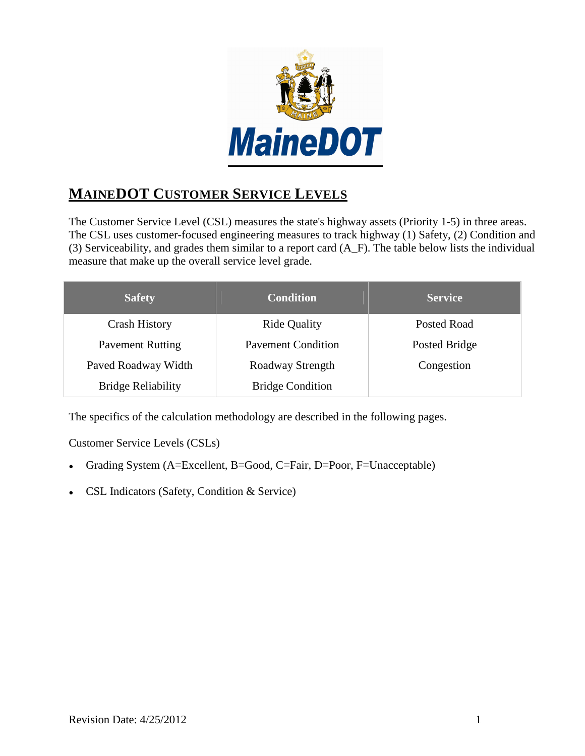

# **MAINEDOT CUSTOMER SERVICE LEVELS**

The Customer Service Level (CSL) measures the state's highway assets (Priority 1-5) in three areas. The CSL uses customer-focused engineering measures to track highway (1) Safety, (2) Condition and (3) Serviceability, and grades them similar to a report card (A\_F). The table below lists the individual measure that make up the overall service level grade.

| <b>Safety</b>             | <b>Condition</b>          | <b>Service</b>     |
|---------------------------|---------------------------|--------------------|
| <b>Crash History</b>      | <b>Ride Quality</b>       | <b>Posted Road</b> |
| <b>Pavement Rutting</b>   | <b>Pavement Condition</b> | Posted Bridge      |
| Paved Roadway Width       | Roadway Strength          | Congestion         |
| <b>Bridge Reliability</b> | <b>Bridge Condition</b>   |                    |

The specifics of the calculation methodology are described in the following pages.

Customer Service Levels (CSLs)

- Grading System (A=Excellent, B=Good, C=Fair, D=Poor, F=Unacceptable)
- CSL Indicators (Safety, Condition & Service)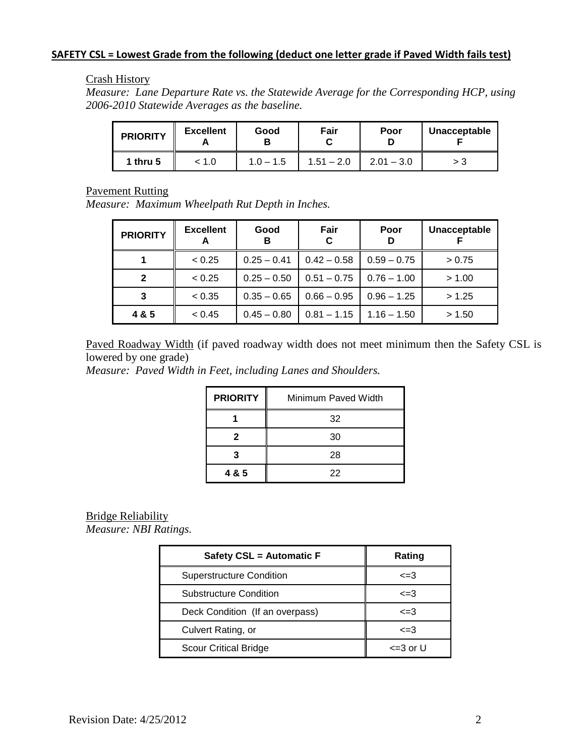#### **SAFETY CSL = Lowest Grade from the following (deduct one letter grade if Paved Width fails test)**

#### Crash History

*Measure: Lane Departure Rate vs. the Statewide Average for the Corresponding HCP, using 2006-2010 Statewide Averages as the baseline.*

| <b>PRIORITY</b> | <b>Excellent</b> | Good        | Fair         | Poor         | Unacceptable |
|-----------------|------------------|-------------|--------------|--------------|--------------|
| 1 thru 5        | 1.0 :            | $1.0 - 1.5$ | $1.51 - 2.0$ | $2.01 - 3.0$ | > 3          |

Pavement Rutting

*Measure: Maximum Wheelpath Rut Depth in Inches.* 

| <b>PRIORITY</b> | <b>Excellent</b> | Good<br>в     | Fair<br>C     | Poor<br>D     | Unacceptable |
|-----------------|------------------|---------------|---------------|---------------|--------------|
|                 | < 0.25           | $0.25 - 0.41$ | $0.42 - 0.58$ | $0.59 - 0.75$ | > 0.75       |
| $\mathbf{2}$    | < 0.25           | $0.25 - 0.50$ | $0.51 - 0.75$ | $0.76 - 1.00$ | > 1.00       |
| 3               | < 0.35           | $0.35 - 0.65$ | $0.66 - 0.95$ | $0.96 - 1.25$ | > 1.25       |
| 4 & 5           | < 0.45           | $0.45 - 0.80$ | $0.81 - 1.15$ | $1.16 - 1.50$ | > 1.50       |

Paved Roadway Width (if paved roadway width does not meet minimum then the Safety CSL is lowered by one grade)

*Measure: Paved Width in Feet, including Lanes and Shoulders.* 

| <b>PRIORITY</b> | Minimum Paved Width |
|-----------------|---------------------|
|                 | 32                  |
|                 | 30                  |
|                 | 28                  |
| 4 & 5           | 22                  |

#### Bridge Reliability

*Measure: NBI Ratings.* 

| Safety CSL = Automatic F        | Rating        |
|---------------------------------|---------------|
| <b>Superstructure Condition</b> | $\leq$ =3     |
| <b>Substructure Condition</b>   | $\leq$ =3     |
| Deck Condition (If an overpass) | $\leq$ =3     |
| Culvert Rating, or              | $\leq$ =3     |
| <b>Scour Critical Bridge</b>    | $\leq$ 3 or U |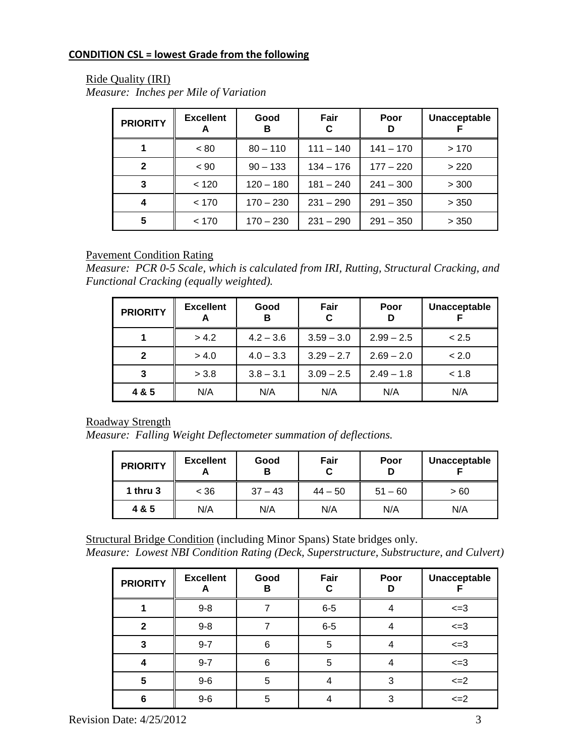### **CONDITION CSL = lowest Grade from the following**

#### Ride Quality (IRI)

*Measure: Inches per Mile of Variation* 

| <b>PRIORITY</b> | <b>Excellent</b><br>A | Good<br>в   | Fair<br>C   | Poor<br>D   | Unacceptable |
|-----------------|-----------------------|-------------|-------------|-------------|--------------|
|                 | ~< 80                 | $80 - 110$  | $111 - 140$ | $141 - 170$ | >170         |
| $\mathbf{2}$    | $~<$ 90               | $90 - 133$  | $134 - 176$ | $177 - 220$ | >220         |
| 3               | < 120                 | $120 - 180$ | $181 - 240$ | $241 - 300$ | > 300        |
| 4               | < 170                 | $170 - 230$ | $231 - 290$ | $291 - 350$ | > 350        |
| 5               | < 170                 | $170 - 230$ | $231 - 290$ | $291 - 350$ | > 350        |

#### Pavement Condition Rating

*Measure: PCR 0-5 Scale, which is calculated from IRI, Rutting, Structural Cracking, and Functional Cracking (equally weighted).* 

| <b>PRIORITY</b> | <b>Excellent</b> | Good<br>в   | Fair<br>С    | Poor<br>D    | Unacceptable |
|-----------------|------------------|-------------|--------------|--------------|--------------|
|                 | > 4.2            | $4.2 - 3.6$ | $3.59 - 3.0$ | $2.99 - 2.5$ | < 2.5        |
| 2               | > 4.0            | $4.0 - 3.3$ | $3.29 - 2.7$ | $2.69 - 2.0$ | < 2.0        |
| 3               | > 3.8            | $3.8 - 3.1$ | $3.09 - 2.5$ | $2.49 - 1.8$ | < 1.8        |
| 4 & 5           | N/A              | N/A         | N/A          | N/A          | N/A          |

#### Roadway Strength

*Measure: Falling Weight Deflectometer summation of deflections.* 

| <b>PRIORITY</b> | <b>Excellent</b><br>m | Good<br>В | Fair<br>С | Poor<br>D | Unacceptable |
|-----------------|-----------------------|-----------|-----------|-----------|--------------|
| 1 thru $3$      | < 36                  | $37 - 43$ | $44 - 50$ | $51 - 60$ | >60          |
| 4 & 5           | N/A                   | N/A       | N/A       | N/A       | N/A          |

Structural Bridge Condition (including Minor Spans) State bridges only.

*Measure: Lowest NBI Condition Rating (Deck, Superstructure, Substructure, and Culvert)* 

| <b>PRIORITY</b> | <b>Excellent</b><br>A | Good<br>в | Fair<br>С | Poor<br>D | Unacceptable |
|-----------------|-----------------------|-----------|-----------|-----------|--------------|
|                 | $9 - 8$               |           | $6-5$     |           | $\leq$ -3    |
| $\mathbf{2}$    | $9 - 8$               |           | $6-5$     |           | $\leq$ -3    |
| 3               | $9 - 7$               | 6         | 5         |           | $\leq$ -3    |
|                 | $9 - 7$               | 6         | 5         |           | $\leq$ -3    |
| 5               | $9-6$                 | 5         |           | 3         | $\leq$ $-2$  |
| 6               | $9-6$                 | 5         |           | 3         | $\leq$ $-2$  |